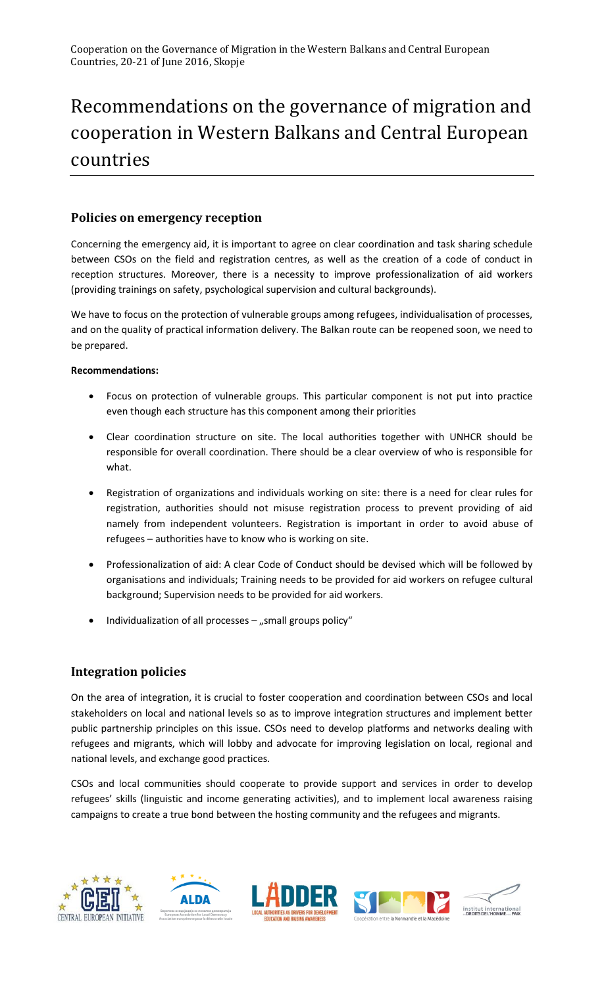# Recommendations on the governance of migration and cooperation in Western Balkans and Central European countries

## **Policies on emergency reception**

Concerning the emergency aid, it is important to agree on clear coordination and task sharing schedule between CSOs on the field and registration centres, as well as the creation of a code of conduct in reception structures. Moreover, there is a necessity to improve professionalization of aid workers (providing trainings on safety, psychological supervision and cultural backgrounds).

We have to focus on the protection of vulnerable groups among refugees, individualisation of processes, and on the quality of practical information delivery. The Balkan route can be reopened soon, we need to be prepared.

#### **Recommendations:**

- Focus on protection of vulnerable groups. This particular component is not put into practice even though each structure has this component among their priorities
- Clear coordination structure on site. The local authorities together with UNHCR should be responsible for overall coordination. There should be a clear overview of who is responsible for what.
- Registration of organizations and individuals working on site: there is a need for clear rules for registration, authorities should not misuse registration process to prevent providing of aid namely from independent volunteers. Registration is important in order to avoid abuse of refugees – authorities have to know who is working on site.
- Professionalization of aid: A clear Code of Conduct should be devised which will be followed by organisations and individuals; Training needs to be provided for aid workers on refugee cultural background; Supervision needs to be provided for aid workers.
- Individualization of all processes  $-$  "small groups policy"

## **Integration policies**

On the area of integration, it is crucial to foster cooperation and coordination between CSOs and local stakeholders on local and national levels so as to improve integration structures and implement better public partnership principles on this issue. CSOs need to develop platforms and networks dealing with refugees and migrants, which will lobby and advocate for improving legislation on local, regional and national levels, and exchange good practices.

CSOs and local communities should cooperate to provide support and services in order to develop refugees' skills (linguistic and income generating activities), and to implement local awareness raising campaigns to create a true bond between the hosting community and the refugees and migrants.



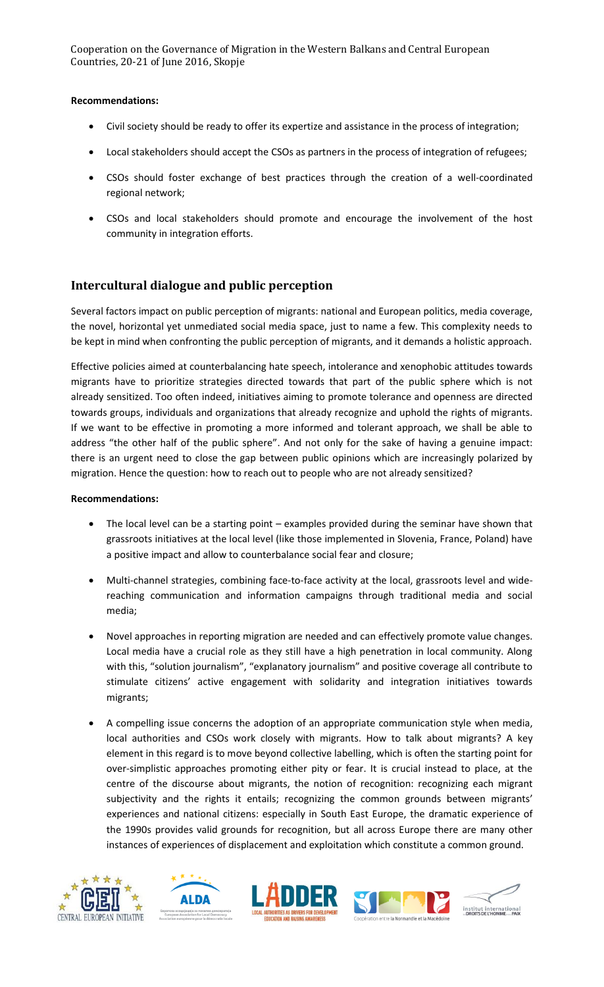Cooperation on the Governance of Migration in the Western Balkans and Central European Countries, 20-21 of June 2016, Skopje

#### **Recommendations:**

- Civil society should be ready to offer its expertize and assistance in the process of integration;
- Local stakeholders should accept the CSOs as partners in the process of integration of refugees;
- CSOs should foster exchange of best practices through the creation of a well-coordinated regional network;
- CSOs and local stakeholders should promote and encourage the involvement of the host community in integration efforts.

## **Intercultural dialogue and public perception**

Several factors impact on public perception of migrants: national and European politics, media coverage, the novel, horizontal yet unmediated social media space, just to name a few. This complexity needs to be kept in mind when confronting the public perception of migrants, and it demands a holistic approach.

Effective policies aimed at counterbalancing hate speech, intolerance and xenophobic attitudes towards migrants have to prioritize strategies directed towards that part of the public sphere which is not already sensitized. Too often indeed, initiatives aiming to promote tolerance and openness are directed towards groups, individuals and organizations that already recognize and uphold the rights of migrants. If we want to be effective in promoting a more informed and tolerant approach, we shall be able to address "the other half of the public sphere". And not only for the sake of having a genuine impact: there is an urgent need to close the gap between public opinions which are increasingly polarized by migration. Hence the question: how to reach out to people who are not already sensitized?

### **Recommendations:**

- The local level can be a starting point examples provided during the seminar have shown that grassroots initiatives at the local level (like those implemented in Slovenia, France, Poland) have a positive impact and allow to counterbalance social fear and closure;
- Multi-channel strategies, combining face-to-face activity at the local, grassroots level and widereaching communication and information campaigns through traditional media and social media;
- Novel approaches in reporting migration are needed and can effectively promote value changes. Local media have a crucial role as they still have a high penetration in local community. Along with this, "solution journalism", "explanatory journalism" and positive coverage all contribute to stimulate citizens' active engagement with solidarity and integration initiatives towards migrants;
- A compelling issue concerns the adoption of an appropriate communication style when media, local authorities and CSOs work closely with migrants. How to talk about migrants? A key element in this regard is to move beyond collective labelling, which is often the starting point for over-simplistic approaches promoting either pity or fear. It is crucial instead to place, at the centre of the discourse about migrants, the notion of recognition: recognizing each migrant subjectivity and the rights it entails; recognizing the common grounds between migrants' experiences and national citizens: especially in South East Europe, the dramatic experience of the 1990s provides valid grounds for recognition, but all across Europe there are many other instances of experiences of displacement and exploitation which constitute a common ground.